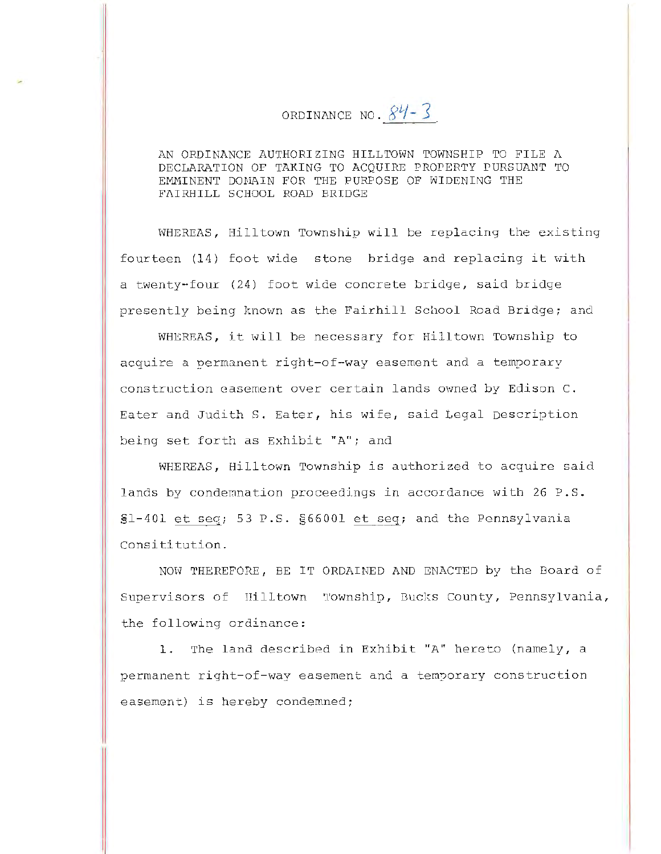## ORDINANCE NO.  $84 - 3$

AN ORDINANCE AUTHORIZING HILLTOWN TOWNSHIP TO FILE  $\Lambda$ DECLARATION OF TAKING TO ACQUIRE PROPERTY PURSUANT TO EMMINENT DOMAIN FOR THE PURPOSE OF WIDENING THE FAIRHILL SCHOOL ROAD BRIDGE

WHEREAS, Hilltown Township will be replacing the existing fourteen (14) foot wide stone bridge and replacing it with a twenty-four (24) foot wide concrete bridge, said bridge presently being known as the Fairhill School Road Bridge; and

WHEREAS, it will be necessary for Hilltown Township to acquire a permanent right-of-way easement and a temporary construction easement over certain lands owned by Edison C. Eater and Judith S. Eater, his wife, said Legal Description being set forth as Exhibit "A"; and

WHEREAS, Hilltown Township is authorized to acquire said lands by condemnation proceedings in accordance with 26 P.S.  $$1-401$  et seq; 53 P.S.  $$66001$  et seq; and the Pennsylvania Consititution.

NOW THEREFORE, BE IT ORDAINED AND ENACTED by the Board of Supervisors of Hilltown Township, Bucks County, Pennsylvania, the following ordinance:

1. The land described in Exhibit "A" hereto (namely, a permanent right-of-way easement and a temporary construction easement) is hereby condemned;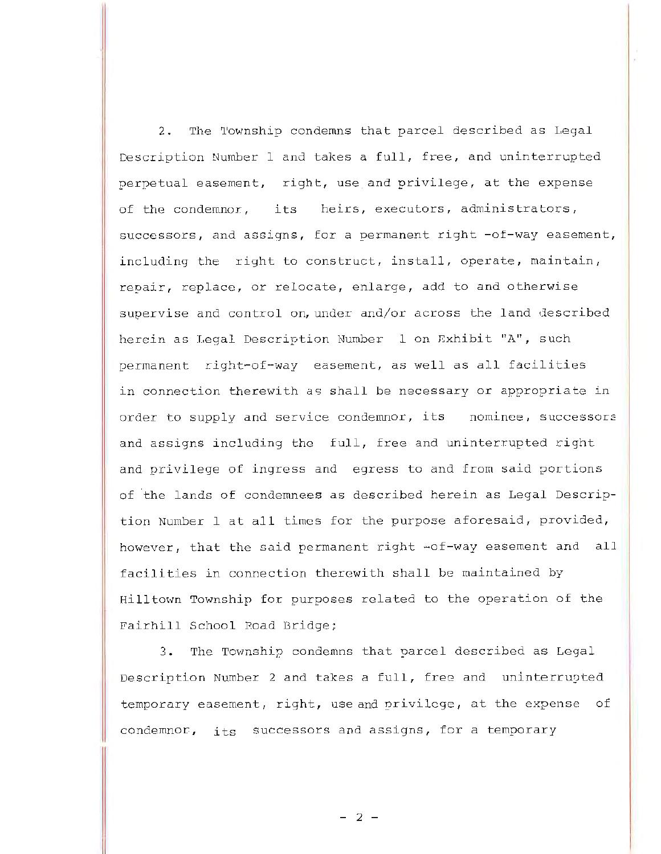2. The 'l'ownship condemns that parcel described as Legal Description Number 1 and takes a full, free, and uninterrupted perpetual easement, right, use and privilege, at the expense of the condemnor, its heirs, executors, administrators, successors, and assigns, for a permanent right -of-way easement, including the right to construct, install, operate, maintain, repair, replace, or relocate, enlarge, add to and otherwise supervise and control on, under and/or across the land described herein as Legal Description Number 1 on Exhibit "A", such permanent right-of-way easement, as well as all facilities in connection therewith as shall be necessary or appropriate in order to supply and service condemnor, its nominee, successors and assigns including the full, free and uninterrupted right and privilege of ingress and egress to and from said portions of the lands of condemnees as described herein as Legal Description Number lat all times for the purpose aforesaid, provided, however, that the said permanent right -of-way easement and all facilities in connection therewith shall be maintained by Hilltown Township for purposes related to the operation of the Fairhill School Road Bridge;

3. The Township condemns that parcel described as Legal Description Number 2 and takes a full, free and uninterrupted temporary easement, right, use and privilege, at the expense of condemnor, its successors and assigns, for a temporary

 $- 2 -$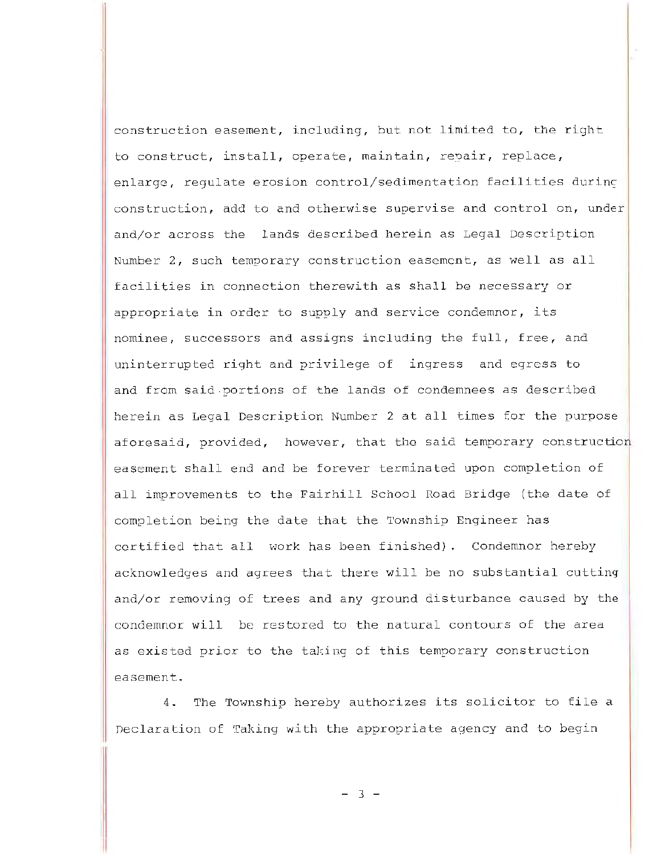construction easement, including, but not limited to, the right to construct, install, operate, maintain, repair, replace, enlarge, regulate erosion control/sedimentation facilities during construction, add to and otherwise supervise and control on, under and/or across the lands described herein as Legal Description Number 2, such temporary construction easement, as well as all facilities in connection therewith as shall be necessary or appropriate in order to supply and service condemner, its nominee, successors and assigns including the full, free, and uninterrupted right and privilege of ingress and egress to and from said.portions of the lands of condemnees as described herein as Legal Description Number 2 at all times for the purpose aforesaid, provided, however, that the said temporary construction easement shall end and be forever terminated upon completion of all improvements to the Fairhill School Road Bridge (the date of completion being the date that the Township Engineer has certified that all work has been finished). Condemnor hereby acknowledges and agrees that there will be no substantial cutting and/or removing of trees and any ground disturbance caused by the condemnor will be restored to the natural contours of the area as existed prior to the taking of this temporary construction easement.

4. The Township hereby authorizes its solicitor to file a Declaration of Taking with the appropriate agency and to begin

- 3 -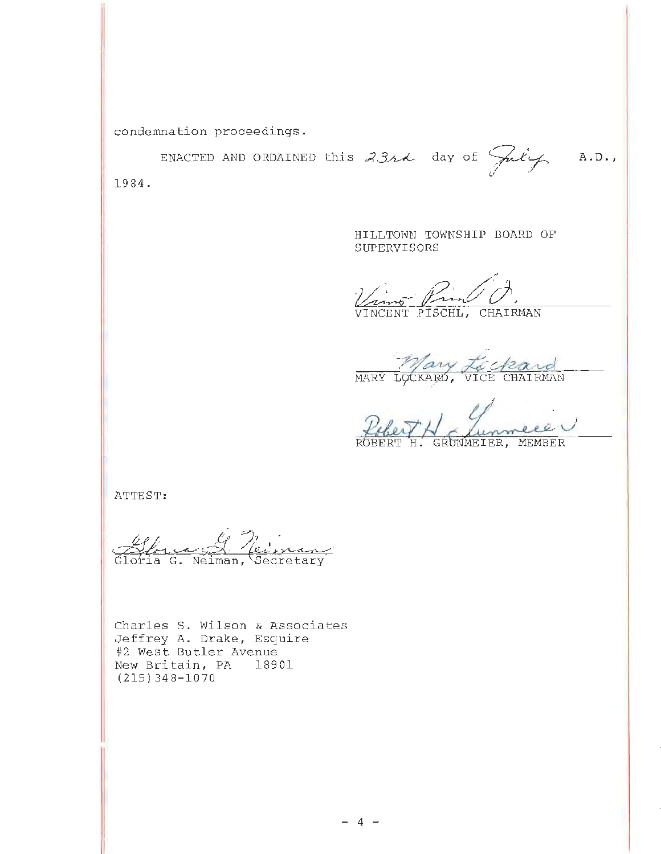condemnation proceedings.

ENACTED AND ORDAINED this  $3314$  day of July  $A.D.$ 1984.

> HILLTOWN TOWNSHIP BOARD OF SUPERVISORS

VINCENT PISCHL, CHAIRMAN

Mary Lockard

Pobert H chemmere

ATTEST:

Alge 9, Neiveau

Charles S. Wilson & Associates Jeffrey A. Drake, Esquire #2 West Butler Avenue New Britain, PA 18901  $(215)$  348-1070